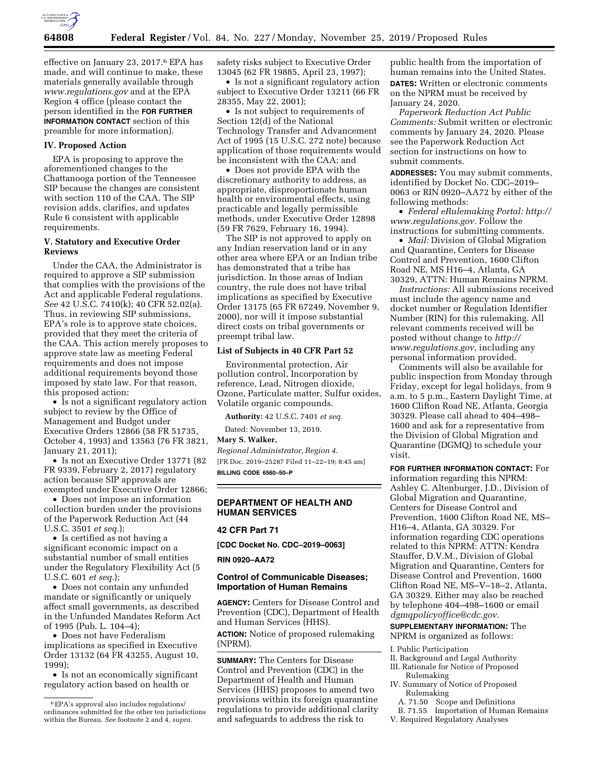

effective on January 23, 2017.6 EPA has made, and will continue to make, these materials generally available through *[www.regulations.gov](http://www.regulations.gov)* and at the EPA Region 4 office (please contact the person identified in the **FOR FURTHER INFORMATION CONTACT** section of this preamble for more information).

## **IV. Proposed Action**

EPA is proposing to approve the aforementioned changes to the Chattanooga portion of the Tennessee SIP because the changes are consistent with section 110 of the CAA. The SIP revision adds, clarifies, and updates Rule 6 consistent with applicable requirements.

# **V. Statutory and Executive Order Reviews**

Under the CAA, the Administrator is required to approve a SIP submission that complies with the provisions of the Act and applicable Federal regulations. *See* 42 U.S.C. 7410(k); 40 CFR 52.02(a). Thus, in reviewing SIP submissions, EPA's role is to approve state choices, provided that they meet the criteria of the CAA. This action merely proposes to approve state law as meeting Federal requirements and does not impose additional requirements beyond those imposed by state law. For that reason, this proposed action:

• Is not a significant regulatory action subject to review by the Office of Management and Budget under Executive Orders 12866 (58 FR 51735, October 4, 1993) and 13563 (76 FR 3821, January 21, 2011);

• Is not an Executive Order 13771 (82 FR 9339, February 2, 2017) regulatory action because SIP approvals are exempted under Executive Order 12866;

• Does not impose an information collection burden under the provisions of the Paperwork Reduction Act (44 U.S.C. 3501 *et seq.*);

• Is certified as not having a significant economic impact on a substantial number of small entities under the Regulatory Flexibility Act (5 U.S.C. 601 *et seq.*);

• Does not contain any unfunded mandate or significantly or uniquely affect small governments, as described in the Unfunded Mandates Reform Act of 1995 (Pub. L. 104–4);

• Does not have Federalism implications as specified in Executive Order 13132 (64 FR 43255, August 10, 1999);

• Is not an economically significant regulatory action based on health or

safety risks subject to Executive Order 13045 (62 FR 19885, April 23, 1997);

• Is not a significant regulatory action subject to Executive Order 13211 (66 FR 28355, May 22, 2001);

• Is not subject to requirements of Section 12(d) of the National Technology Transfer and Advancement Act of 1995 (15 U.S.C. 272 note) because application of those requirements would be inconsistent with the CAA; and

• Does not provide EPA with the discretionary authority to address, as appropriate, disproportionate human health or environmental effects, using practicable and legally permissible methods, under Executive Order 12898 (59 FR 7629, February 16, 1994).

The SIP is not approved to apply on any Indian reservation land or in any other area where EPA or an Indian tribe has demonstrated that a tribe has jurisdiction. In those areas of Indian country, the rule does not have tribal implications as specified by Executive Order 13175 (65 FR 67249, November 9, 2000), nor will it impose substantial direct costs on tribal governments or preempt tribal law.

### **List of Subjects in 40 CFR Part 52**

Environmental protection, Air pollution control, Incorporation by reference, Lead, Nitrogen dioxide, Ozone, Particulate matter, Sulfur oxides, Volatile organic compounds.

**Authority:** 42 U.S.C. 7401 *et seq.* 

Dated: November 13, 2019.

**Mary S. Walker,** 

*Regional Administrator, Region 4.*  [FR Doc. 2019–25287 Filed 11–22–19; 8:45 am] **BILLING CODE 6560–50–P** 

### **DEPARTMENT OF HEALTH AND HUMAN SERVICES**

## **42 CFR Part 71**

**[CDC Docket No. CDC–2019–0063]** 

**RIN 0920–AA72** 

# **Control of Communicable Diseases; Importation of Human Remains**

**AGENCY:** Centers for Disease Control and Prevention (CDC), Department of Health and Human Services (HHS).

**ACTION:** Notice of proposed rulemaking (NPRM).

**SUMMARY:** The Centers for Disease Control and Prevention (CDC) in the Department of Health and Human Services (HHS) proposes to amend two provisions within its foreign quarantine regulations to provide additional clarity and safeguards to address the risk to

public health from the importation of human remains into the United States. **DATES:** Written or electronic comments on the NPRM must be received by January 24, 2020.

*Paperwork Reduction Act Public Comments:* Submit written or electronic comments by January 24, 2020. Please see the Paperwork Reduction Act section for instructions on how to submit comments.

**ADDRESSES:** You may submit comments, identified by Docket No. CDC–2019– 0063 or RIN 0920–AA72 by either of the following methods:

• *Federal eRulemaking Portal: [http://](http://www.regulations.gov)  [www.regulations.gov.](http://www.regulations.gov)* Follow the instructions for submitting comments.

• *Mail:* Division of Global Migration and Quarantine, Centers for Disease Control and Prevention, 1600 Clifton Road NE, MS H16–4, Atlanta, GA 30329, ATTN: Human Remains NPRM.

*Instructions:* All submissions received must include the agency name and docket number or Regulation Identifier Number (RIN) for this rulemaking. All relevant comments received will be posted without change to *[http://](http://www.regulations.gov) [www.regulations.gov,](http://www.regulations.gov)* including any personal information provided.

Comments will also be available for public inspection from Monday through Friday, except for legal holidays, from 9 a.m. to 5 p.m., Eastern Daylight Time, at 1600 Clifton Road NE, Atlanta, Georgia 30329. Please call ahead to 404–498– 1600 and ask for a representative from the Division of Global Migration and Quarantine (DGMQ) to schedule your visit.

**FOR FURTHER INFORMATION CONTACT:** For information regarding this NPRM: Ashley C. Altenburger, J.D., Division of Global Migration and Quarantine, Centers for Disease Control and Prevention, 1600 Clifton Road NE, MS– H16–4, Atlanta, GA 30329. For information regarding CDC operations related to this NPRM: ATTN: Kendra Stauffer, D.V.M., Division of Global Migration and Quarantine, Centers for Disease Control and Prevention, 1600 Clifton Road NE, MS–V–18–2, Atlanta, GA 30329. Either may also be reached by telephone 404–498–1600 or email *[dgmqpolicyoffice@cdc.gov.](mailto:dgmqpolicyoffice@cdc.gov)* 

**SUPPLEMENTARY INFORMATION:** The NPRM is organized as follows:

I. Public Participation

- II. Background and Legal Authority
- III. Rationale for Notice of Proposed Rulemaking
- IV. Summary of Notice of Proposed Rulemaking
	- A. 71.50 Scope and Definitions
- B. 71.55 Importation of Human Remains
- V. Required Regulatory Analyses

<sup>6</sup>EPA's approval also includes regulations/ ordinances submitted for the other ten jurisdictions within the Bureau. *See* footnote 2 and 4, *supra.*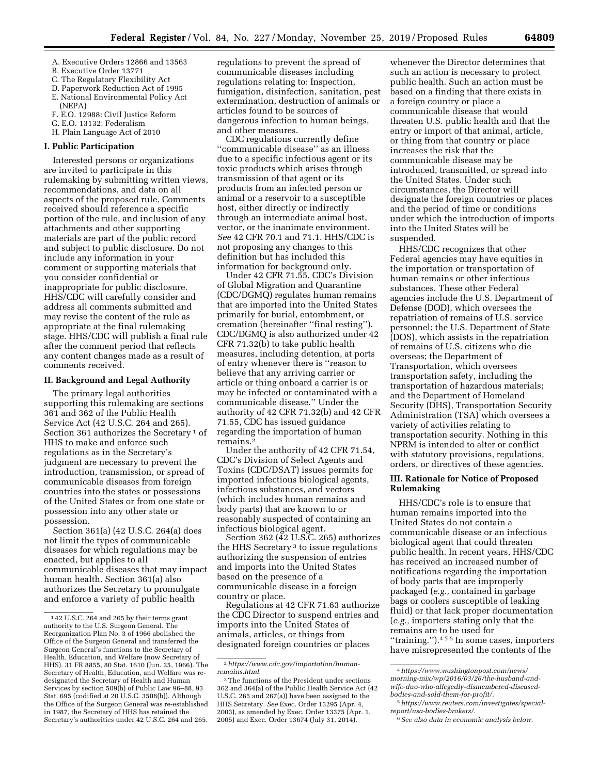- A. Executive Orders 12866 and 13563 B. Executive Order 13771
- 
- C. The Regulatory Flexibility Act
- D. Paperwork Reduction Act of 1995 E. National Environmental Policy Act (NEPA)
- F. E.O. 12988: Civil Justice Reform
- G. E.O. 13132: Federalism
- H. Plain Language Act of 2010

## **I. Public Participation**

Interested persons or organizations are invited to participate in this rulemaking by submitting written views, recommendations, and data on all aspects of the proposed rule. Comments received should reference a specific portion of the rule, and inclusion of any attachments and other supporting materials are part of the public record and subject to public disclosure. Do not include any information in your comment or supporting materials that you consider confidential or inappropriate for public disclosure. HHS/CDC will carefully consider and address all comments submitted and may revise the content of the rule as appropriate at the final rulemaking stage. HHS/CDC will publish a final rule after the comment period that reflects any content changes made as a result of comments received.

# **II. Background and Legal Authority**

The primary legal authorities supporting this rulemaking are sections 361 and 362 of the Public Health Service Act (42 U.S.C. 264 and 265). Section 361 authorizes the Secretary<sup>1</sup> of HHS to make and enforce such regulations as in the Secretary's judgment are necessary to prevent the introduction, transmission, or spread of communicable diseases from foreign countries into the states or possessions of the United States or from one state or possession into any other state or possession.

Section 361(a) (42 U.S.C. 264(a) does not limit the types of communicable diseases for which regulations may be enacted, but applies to all communicable diseases that may impact human health. Section 361(a) also authorizes the Secretary to promulgate and enforce a variety of public health

regulations to prevent the spread of communicable diseases including regulations relating to: Inspection, fumigation, disinfection, sanitation, pest extermination, destruction of animals or articles found to be sources of dangerous infection to human beings, and other measures.

CDC regulations currently define ''communicable disease'' as an illness due to a specific infectious agent or its toxic products which arises through transmission of that agent or its products from an infected person or animal or a reservoir to a susceptible host, either directly or indirectly through an intermediate animal host, vector, or the inanimate environment. *See* 42 CFR 70.1 and 71.1. HHS/CDC is not proposing any changes to this definition but has included this information for background only.

Under 42 CFR 71.55, CDC's Division of Global Migration and Quarantine (CDC/DGMQ) regulates human remains that are imported into the United States primarily for burial, entombment, or cremation (hereinafter ''final resting''). CDC/DGMQ is also authorized under 42 CFR 71.32(b) to take public health measures, including detention, at ports of entry whenever there is ''reason to believe that any arriving carrier or article or thing onboard a carrier is or may be infected or contaminated with a communicable disease.'' Under the authority of 42 CFR 71.32(b) and 42 CFR 71.55, CDC has issued guidance regarding the importation of human remains.2

Under the authority of 42 CFR 71.54, CDC's Division of Select Agents and Toxins (CDC/DSAT) issues permits for imported infectious biological agents, infectious substances, and vectors (which includes human remains and body parts) that are known to or reasonably suspected of containing an infectious biological agent.

Section 362 (42 U.S.C. 265) authorizes the HHS Secretary 3 to issue regulations authorizing the suspension of entries and imports into the United States based on the presence of a communicable disease in a foreign country or place.

Regulations at 42 CFR 71.63 authorize the CDC Director to suspend entries and imports into the United States of animals, articles, or things from designated foreign countries or places

whenever the Director determines that such an action is necessary to protect public health. Such an action must be based on a finding that there exists in a foreign country or place a communicable disease that would threaten U.S. public health and that the entry or import of that animal, article, or thing from that country or place increases the risk that the communicable disease may be introduced, transmitted, or spread into the United States. Under such circumstances, the Director will designate the foreign countries or places and the period of time or conditions under which the introduction of imports into the United States will be suspended.

HHS/CDC recognizes that other Federal agencies may have equities in the importation or transportation of human remains or other infectious substances. These other Federal agencies include the U.S. Department of Defense (DOD), which oversees the repatriation of remains of U.S. service personnel; the U.S. Department of State (DOS), which assists in the repatriation of remains of U.S. citizens who die overseas; the Department of Transportation, which oversees transportation safety, including the transportation of hazardous materials; and the Department of Homeland Security (DHS), Transportation Security Administration (TSA) which oversees a variety of activities relating to transportation security. Nothing in this NPRM is intended to alter or conflict with statutory provisions, regulations, orders, or directives of these agencies.

# **III. Rationale for Notice of Proposed Rulemaking**

HHS/CDC's role is to ensure that human remains imported into the United States do not contain a communicable disease or an infectious biological agent that could threaten public health. In recent years, HHS/CDC has received an increased number of notifications regarding the importation of body parts that are improperly packaged (*e.g.,* contained in garbage bags or coolers susceptible of leaking fluid) or that lack proper documentation (*e.g.,* importers stating only that the remains are to be used for ''training.'').456 In some cases, importers have misrepresented the contents of the

<sup>1</sup> 42 U.S.C. 264 and 265 by their terms grant authority to the U.S. Surgeon General. The Reorganization Plan No. 3 of 1966 abolished the Office of the Surgeon General and transferred the Surgeon General's functions to the Secretary of Health, Education, and Welfare (now Secretary of HHS). 31 FR 8855, 80 Stat. 1610 (Jun. 25, 1966). The Secretary of Health, Education, and Welfare was redesignated the Secretary of Health and Human Services by section 509(b) of Public Law 96–88, 93 Stat. 695 (codified at 20 U.S.C. 3508(b)). Although the Office of the Surgeon General was re-established in 1987, the Secretary of HHS has retained the Secretary's authorities under 42 U.S.C. 264 and 265.

<sup>2</sup>*[https://www.cdc.gov/importation/human](https://www.cdc.gov/importation/human-remains.html)[remains.html.](https://www.cdc.gov/importation/human-remains.html)* 

<sup>3</sup>The functions of the President under sections 362 and 364(a) of the Public Health Service Act (42 U.S.C. 265 and 267(a)) have been assigned to the HHS Secretary. *See* Exec. Order 13295 (Apr. 4, 2003), as amended by Exec. Order 13375 (Apr. 1, 2005) and Exec. Order 13674 (July 31, 2014).

<sup>4</sup>*[https://www.washingtonpost.com/news/](https://www.washingtonpost.com/news/morning-mix/wp/2016/03/26/the-husband-and-wife-duo-who-allegedly-dismembered-diseased-bodies-and-sold-them-for-profit/)  [morning-mix/wp/2016/03/26/the-husband-and](https://www.washingtonpost.com/news/morning-mix/wp/2016/03/26/the-husband-and-wife-duo-who-allegedly-dismembered-diseased-bodies-and-sold-them-for-profit/)[wife-duo-who-allegedly-dismembered-diseased](https://www.washingtonpost.com/news/morning-mix/wp/2016/03/26/the-husband-and-wife-duo-who-allegedly-dismembered-diseased-bodies-and-sold-them-for-profit/)[bodies-and-sold-them-for-profit/](https://www.washingtonpost.com/news/morning-mix/wp/2016/03/26/the-husband-and-wife-duo-who-allegedly-dismembered-diseased-bodies-and-sold-them-for-profit/).* 

<sup>5</sup>*[https://www.reuters.com/investigates/special](https://www.reuters.com/investigates/special-report/usa-bodies-brokers/)[report/usa-bodies-brokers/.](https://www.reuters.com/investigates/special-report/usa-bodies-brokers/)* 

<sup>6</sup>*See also data in economic analysis below.*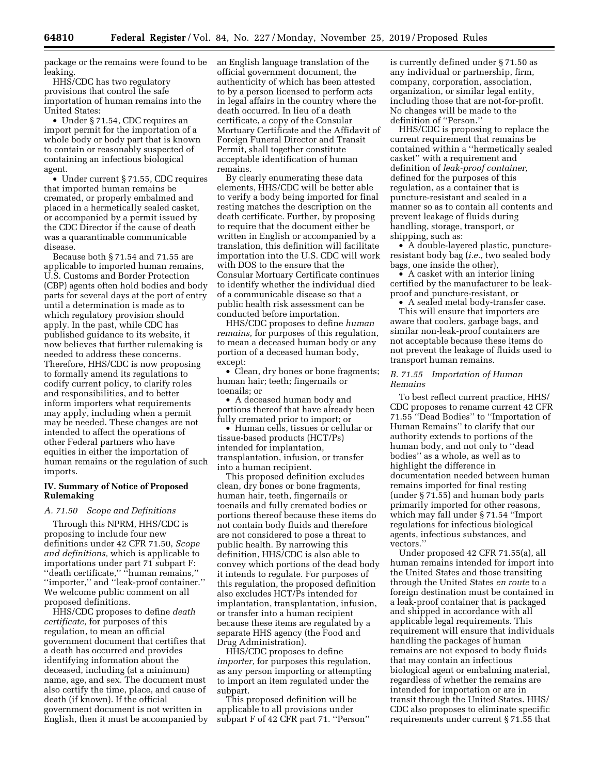package or the remains were found to be **leaking** 

HHS/CDC has two regulatory provisions that control the safe importation of human remains into the United States:

• Under § 71.54, CDC requires an import permit for the importation of a whole body or body part that is known to contain or reasonably suspected of containing an infectious biological agent.

• Under current § 71.55, CDC requires that imported human remains be cremated, or properly embalmed and placed in a hermetically sealed casket, or accompanied by a permit issued by the CDC Director if the cause of death was a quarantinable communicable disease.

Because both § 71.54 and 71.55 are applicable to imported human remains, U.S. Customs and Border Protection (CBP) agents often hold bodies and body parts for several days at the port of entry until a determination is made as to which regulatory provision should apply. In the past, while CDC has published guidance to its website, it now believes that further rulemaking is needed to address these concerns. Therefore, HHS/CDC is now proposing to formally amend its regulations to codify current policy, to clarify roles and responsibilities, and to better inform importers what requirements may apply, including when a permit may be needed. These changes are not intended to affect the operations of other Federal partners who have equities in either the importation of human remains or the regulation of such imports.

## **IV. Summary of Notice of Proposed Rulemaking**

# *A. 71.50 Scope and Definitions*

Through this NPRM, HHS/CDC is proposing to include four new definitions under 42 CFR 71.50, *Scope and definitions,* which is applicable to importations under part 71 subpart F: ''death certificate,'' ''human remains,'' ''importer,'' and ''leak-proof container.'' We welcome public comment on all proposed definitions.

HHS/CDC proposes to define *death certificate,* for purposes of this regulation, to mean an official government document that certifies that a death has occurred and provides identifying information about the deceased, including (at a minimum) name, age, and sex. The document must also certify the time, place, and cause of death (if known). If the official government document is not written in English, then it must be accompanied by an English language translation of the official government document, the authenticity of which has been attested to by a person licensed to perform acts in legal affairs in the country where the death occurred. In lieu of a death certificate, a copy of the Consular Mortuary Certificate and the Affidavit of Foreign Funeral Director and Transit Permit, shall together constitute acceptable identification of human remains.

By clearly enumerating these data elements, HHS/CDC will be better able to verify a body being imported for final resting matches the description on the death certificate. Further, by proposing to require that the document either be written in English or accompanied by a translation, this definition will facilitate importation into the U.S. CDC will work with DOS to the ensure that the Consular Mortuary Certificate continues to identify whether the individual died of a communicable disease so that a public health risk assessment can be conducted before importation.

HHS/CDC proposes to define *human remains,* for purposes of this regulation, to mean a deceased human body or any portion of a deceased human body, except:

• Clean, dry bones or bone fragments; human hair; teeth; fingernails or toenails; or

• A deceased human body and portions thereof that have already been fully cremated prior to import; or

• Human cells, tissues or cellular or tissue-based products (HCT/Ps) intended for implantation, transplantation, infusion, or transfer into a human recipient.

This proposed definition excludes clean, dry bones or bone fragments, human hair, teeth, fingernails or toenails and fully cremated bodies or portions thereof because these items do not contain body fluids and therefore are not considered to pose a threat to public health. By narrowing this definition, HHS/CDC is also able to convey which portions of the dead body it intends to regulate. For purposes of this regulation, the proposed definition also excludes HCT/Ps intended for implantation, transplantation, infusion, or transfer into a human recipient because these items are regulated by a separate HHS agency (the Food and Drug Administration).

HHS/CDC proposes to define *importer,* for purposes this regulation, as any person importing or attempting to import an item regulated under the subpart.

This proposed definition will be applicable to all provisions under subpart F of 42 CFR part 71. ''Person'' is currently defined under § 71.50 as any individual or partnership, firm, company, corporation, association, organization, or similar legal entity, including those that are not-for-profit. No changes will be made to the definition of ''Person.''

HHS/CDC is proposing to replace the current requirement that remains be contained within a ''hermetically sealed casket'' with a requirement and definition of *leak-proof container,*  defined for the purposes of this regulation, as a container that is puncture-resistant and sealed in a manner so as to contain all contents and prevent leakage of fluids during handling, storage, transport, or shipping, such as:

• A double-layered plastic, punctureresistant body bag (*i.e.,* two sealed body bags, one inside the other),

• A casket with an interior lining certified by the manufacturer to be leakproof and puncture-resistant, or

• A sealed metal body-transfer case. This will ensure that importers are aware that coolers, garbage bags, and similar non-leak-proof containers are not acceptable because these items do not prevent the leakage of fluids used to transport human remains.

# *B. 71.55 Importation of Human Remains*

To best reflect current practice, HHS/ CDC proposes to rename current 42 CFR 71.55 ''Dead Bodies'' to ''Importation of Human Remains'' to clarify that our authority extends to portions of the human body, and not only to ''dead bodies'' as a whole, as well as to highlight the difference in documentation needed between human remains imported for final resting (under § 71.55) and human body parts primarily imported for other reasons, which may fall under § 71.54 ''Import regulations for infectious biological agents, infectious substances, and vectors.''

Under proposed 42 CFR 71.55(a), all human remains intended for import into the United States and those transiting through the United States *en route* to a foreign destination must be contained in a leak-proof container that is packaged and shipped in accordance with all applicable legal requirements. This requirement will ensure that individuals handling the packages of human remains are not exposed to body fluids that may contain an infectious biological agent or embalming material, regardless of whether the remains are intended for importation or are in transit through the United States. HHS/ CDC also proposes to eliminate specific requirements under current § 71.55 that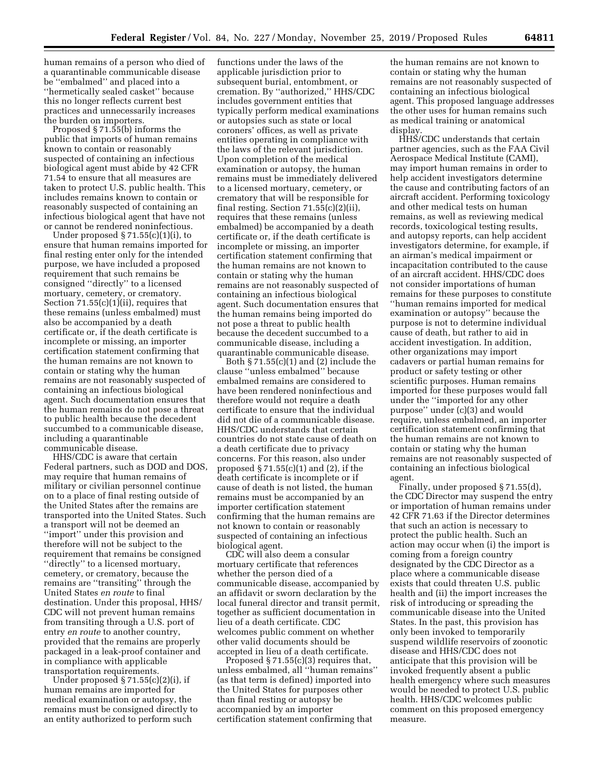human remains of a person who died of a quarantinable communicable disease be ''embalmed'' and placed into a ''hermetically sealed casket'' because this no longer reflects current best practices and unnecessarily increases the burden on importers.

Proposed § 71.55(b) informs the public that imports of human remains known to contain or reasonably suspected of containing an infectious biological agent must abide by 42 CFR 71.54 to ensure that all measures are taken to protect U.S. public health. This includes remains known to contain or reasonably suspected of containing an infectious biological agent that have not or cannot be rendered noninfectious.

Under proposed  $\S 71.55(c)(1)(i)$ , to ensure that human remains imported for final resting enter only for the intended purpose, we have included a proposed requirement that such remains be consigned ''directly'' to a licensed mortuary, cemetery, or crematory. Section 71.55(c)(1)(ii), requires that these remains (unless embalmed) must also be accompanied by a death certificate or, if the death certificate is incomplete or missing, an importer certification statement confirming that the human remains are not known to contain or stating why the human remains are not reasonably suspected of containing an infectious biological agent. Such documentation ensures that the human remains do not pose a threat to public health because the decedent succumbed to a communicable disease, including a quarantinable communicable disease.

HHS/CDC is aware that certain Federal partners, such as DOD and DOS, may require that human remains of military or civilian personnel continue on to a place of final resting outside of the United States after the remains are transported into the United States. Such a transport will not be deemed an ''import'' under this provision and therefore will not be subject to the requirement that remains be consigned ''directly'' to a licensed mortuary, cemetery, or crematory, because the remains are ''transiting'' through the United States *en route* to final destination. Under this proposal, HHS/ CDC will not prevent human remains from transiting through a U.S. port of entry *en route* to another country, provided that the remains are properly packaged in a leak-proof container and in compliance with applicable transportation requirements.

Under proposed § 71.55(c)(2)(i), if human remains are imported for medical examination or autopsy, the remains must be consigned directly to an entity authorized to perform such

functions under the laws of the applicable jurisdiction prior to subsequent burial, entombment, or cremation. By ''authorized,'' HHS/CDC includes government entities that typically perform medical examinations or autopsies such as state or local coroners' offices, as well as private entities operating in compliance with the laws of the relevant jurisdiction. Upon completion of the medical examination or autopsy, the human remains must be immediately delivered to a licensed mortuary, cemetery, or crematory that will be responsible for final resting. Section 71.55(c)(2)(ii), requires that these remains (unless embalmed) be accompanied by a death certificate or, if the death certificate is incomplete or missing, an importer certification statement confirming that the human remains are not known to contain or stating why the human remains are not reasonably suspected of containing an infectious biological agent. Such documentation ensures that the human remains being imported do not pose a threat to public health because the decedent succumbed to a communicable disease, including a quarantinable communicable disease.

Both § 71.55(c)(1) and (2) include the clause ''unless embalmed'' because embalmed remains are considered to have been rendered noninfectious and therefore would not require a death certificate to ensure that the individual did not die of a communicable disease. HHS/CDC understands that certain countries do not state cause of death on a death certificate due to privacy concerns. For this reason, also under proposed § 71.55(c)(1) and (2), if the death certificate is incomplete or if cause of death is not listed, the human remains must be accompanied by an importer certification statement confirming that the human remains are not known to contain or reasonably suspected of containing an infectious biological agent.

CDC will also deem a consular mortuary certificate that references whether the person died of a communicable disease, accompanied by an affidavit or sworn declaration by the local funeral director and transit permit, together as sufficient documentation in lieu of a death certificate. CDC welcomes public comment on whether other valid documents should be accepted in lieu of a death certificate.

Proposed § 71.55(c)(3) requires that, unless embalmed, all ''human remains'' (as that term is defined) imported into the United States for purposes other than final resting or autopsy be accompanied by an importer certification statement confirming that

the human remains are not known to contain or stating why the human remains are not reasonably suspected of containing an infectious biological agent. This proposed language addresses the other uses for human remains such as medical training or anatomical display.

HHS/CDC understands that certain partner agencies, such as the FAA Civil Aerospace Medical Institute (CAMI), may import human remains in order to help accident investigators determine the cause and contributing factors of an aircraft accident. Performing toxicology and other medical tests on human remains, as well as reviewing medical records, toxicological testing results, and autopsy reports, can help accident investigators determine, for example, if an airman's medical impairment or incapacitation contributed to the cause of an aircraft accident. HHS/CDC does not consider importations of human remains for these purposes to constitute ''human remains imported for medical examination or autopsy'' because the purpose is not to determine individual cause of death, but rather to aid in accident investigation. In addition, other organizations may import cadavers or partial human remains for product or safety testing or other scientific purposes. Human remains imported for these purposes would fall under the ''imported for any other purpose'' under (c)(3) and would require, unless embalmed, an importer certification statement confirming that the human remains are not known to contain or stating why the human remains are not reasonably suspected of containing an infectious biological agent.

Finally, under proposed § 71.55(d), the CDC Director may suspend the entry or importation of human remains under 42 CFR 71.63 if the Director determines that such an action is necessary to protect the public health. Such an action may occur when (i) the import is coming from a foreign country designated by the CDC Director as a place where a communicable disease exists that could threaten U.S. public health and (ii) the import increases the risk of introducing or spreading the communicable disease into the United States. In the past, this provision has only been invoked to temporarily suspend wildlife reservoirs of zoonotic disease and HHS/CDC does not anticipate that this provision will be invoked frequently absent a public health emergency where such measures would be needed to protect U.S. public health. HHS/CDC welcomes public comment on this proposed emergency measure.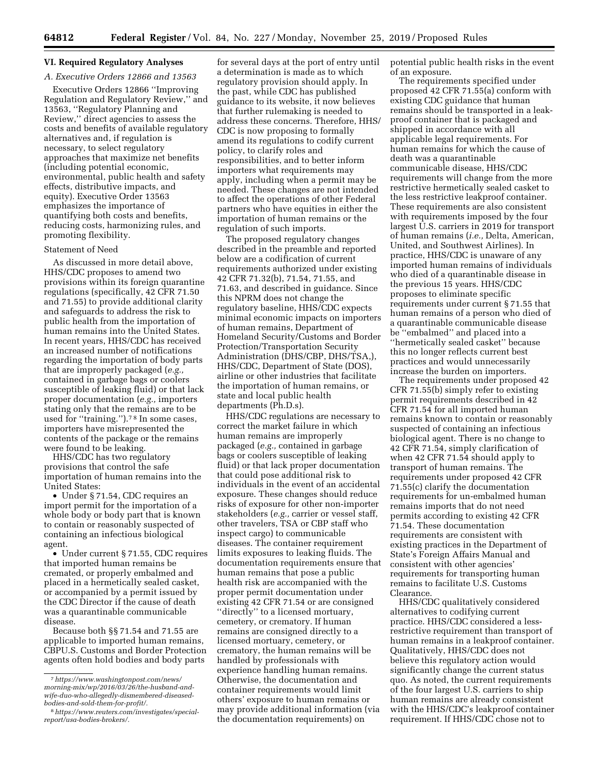# **VI. Required Regulatory Analyses**

# *A. Executive Orders 12866 and 13563*

Executive Orders 12866 ''Improving Regulation and Regulatory Review,'' and 13563, ''Regulatory Planning and Review,'' direct agencies to assess the costs and benefits of available regulatory alternatives and, if regulation is necessary, to select regulatory approaches that maximize net benefits (including potential economic, environmental, public health and safety effects, distributive impacts, and equity). Executive Order 13563 emphasizes the importance of quantifying both costs and benefits, reducing costs, harmonizing rules, and promoting flexibility.

### Statement of Need

As discussed in more detail above, HHS/CDC proposes to amend two provisions within its foreign quarantine regulations (specifically, 42 CFR 71.50 and 71.55) to provide additional clarity and safeguards to address the risk to public health from the importation of human remains into the United States. In recent years, HHS/CDC has received an increased number of notifications regarding the importation of body parts that are improperly packaged (*e.g.,*  contained in garbage bags or coolers susceptible of leaking fluid) or that lack proper documentation (*e.g.,* importers stating only that the remains are to be used for ''training.'').7 8 In some cases, importers have misrepresented the contents of the package or the remains were found to be leaking.

HHS/CDC has two regulatory provisions that control the safe importation of human remains into the United States:

• Under § 71.54, CDC requires an import permit for the importation of a whole body or body part that is known to contain or reasonably suspected of containing an infectious biological agent.

• Under current § 71.55, CDC requires that imported human remains be cremated, or properly embalmed and placed in a hermetically sealed casket, or accompanied by a permit issued by the CDC Director if the cause of death was a quarantinable communicable disease.

Because both §§ 71.54 and 71.55 are applicable to imported human remains, CBPU.S. Customs and Border Protection agents often hold bodies and body parts

for several days at the port of entry until a determination is made as to which regulatory provision should apply. In the past, while CDC has published guidance to its website, it now believes that further rulemaking is needed to address these concerns. Therefore, HHS/ CDC is now proposing to formally amend its regulations to codify current policy, to clarify roles and responsibilities, and to better inform importers what requirements may apply, including when a permit may be needed. These changes are not intended to affect the operations of other Federal partners who have equities in either the importation of human remains or the regulation of such imports.

The proposed regulatory changes described in the preamble and reported below are a codification of current requirements authorized under existing 42 CFR 71.32(b), 71.54, 71.55, and 71.63, and described in guidance. Since this NPRM does not change the regulatory baseline, HHS/CDC expects minimal economic impacts on importers of human remains, Department of Homeland Security/Customs and Border Protection/Transportation Security Administration (DHS/CBP, DHS/TSA,), HHS/CDC, Department of State (DOS), airline or other industries that facilitate the importation of human remains, or state and local public health departments (Ph.D.s).

HHS/CDC regulations are necessary to correct the market failure in which human remains are improperly packaged (*e.g.,* contained in garbage bags or coolers susceptible of leaking fluid) or that lack proper documentation that could pose additional risk to individuals in the event of an accidental exposure. These changes should reduce risks of exposure for other non-importer stakeholders (*e.g.,* carrier or vessel staff, other travelers, TSA or CBP staff who inspect cargo) to communicable diseases. The container requirement limits exposures to leaking fluids. The documentation requirements ensure that human remains that pose a public health risk are accompanied with the proper permit documentation under existing 42 CFR 71.54 or are consigned ''directly'' to a licensed mortuary, cemetery, or crematory. If human remains are consigned directly to a licensed mortuary, cemetery, or crematory, the human remains will be handled by professionals with experience handling human remains. Otherwise, the documentation and container requirements would limit others' exposure to human remains or may provide additional information (via the documentation requirements) on

potential public health risks in the event of an exposure.

The requirements specified under proposed 42 CFR 71.55(a) conform with existing CDC guidance that human remains should be transported in a leakproof container that is packaged and shipped in accordance with all applicable legal requirements. For human remains for which the cause of death was a quarantinable communicable disease, HHS/CDC requirements will change from the more restrictive hermetically sealed casket to the less restrictive leakproof container. These requirements are also consistent with requirements imposed by the four largest U.S. carriers in 2019 for transport of human remains (*i.e.,* Delta, American, United, and Southwest Airlines). In practice, HHS/CDC is unaware of any imported human remains of individuals who died of a quarantinable disease in the previous 15 years. HHS/CDC proposes to eliminate specific requirements under current § 71.55 that human remains of a person who died of a quarantinable communicable disease be ''embalmed'' and placed into a ''hermetically sealed casket'' because this no longer reflects current best practices and would unnecessarily increase the burden on importers.

The requirements under proposed 42 CFR 71.55(b) simply refer to existing permit requirements described in 42 CFR 71.54 for all imported human remains known to contain or reasonably suspected of containing an infectious biological agent. There is no change to 42 CFR 71.54, simply clarification of when 42 CFR 71.54 should apply to transport of human remains. The requirements under proposed 42 CFR 71.55(c) clarify the documentation requirements for un-embalmed human remains imports that do not need permits according to existing 42 CFR 71.54. These documentation requirements are consistent with existing practices in the Department of State's Foreign Affairs Manual and consistent with other agencies' requirements for transporting human remains to facilitate U.S. Customs Clearance.

HHS/CDC qualitatively considered alternatives to codifying current practice. HHS/CDC considered a lessrestrictive requirement than transport of human remains in a leakproof container. Qualitatively, HHS/CDC does not believe this regulatory action would significantly change the current status quo. As noted, the current requirements of the four largest U.S. carriers to ship human remains are already consistent with the HHS/CDC's leakproof container requirement. If HHS/CDC chose not to

<sup>7</sup>*[https://www.washingtonpost.com/news/](https://www.washingtonpost.com/news/morning-mix/wp/2016/03/26/the-husband-and-wife-duo-who-allegedly-dismembered-diseased-bodies-and-sold-them-for-profit/)  [morning-mix/wp/2016/03/26/the-husband-and](https://www.washingtonpost.com/news/morning-mix/wp/2016/03/26/the-husband-and-wife-duo-who-allegedly-dismembered-diseased-bodies-and-sold-them-for-profit/)wife-duo-who-allegedly-dismembered-diseased[bodies-and-sold-them-for-profit/.](https://www.washingtonpost.com/news/morning-mix/wp/2016/03/26/the-husband-and-wife-duo-who-allegedly-dismembered-diseased-bodies-and-sold-them-for-profit/)* 

<sup>8</sup>*[https://www.reuters.com/investigates/special](https://www.reuters.com/investigates/special-report/usa-bodies-brokers/)[report/usa-bodies-brokers/.](https://www.reuters.com/investigates/special-report/usa-bodies-brokers/)*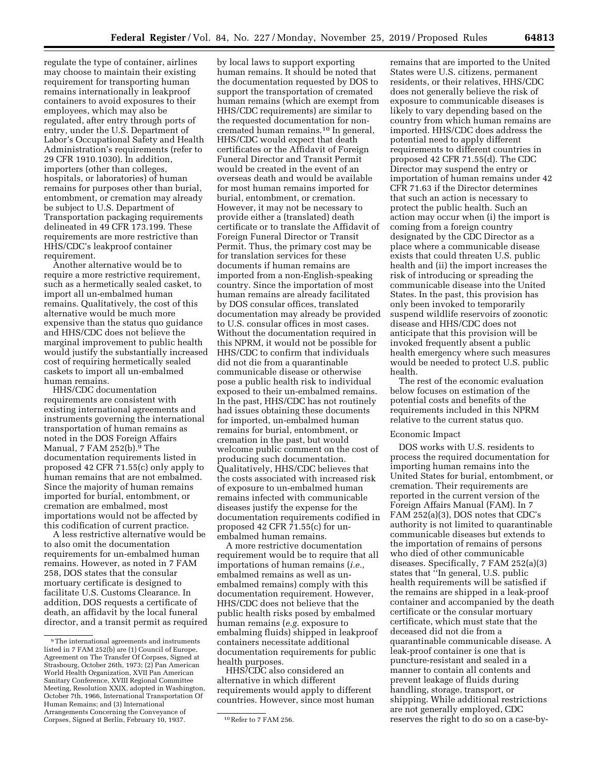regulate the type of container, airlines may choose to maintain their existing requirement for transporting human remains internationally in leakproof containers to avoid exposures to their employees, which may also be regulated, after entry through ports of entry, under the U.S. Department of Labor's Occupational Safety and Health Administration's requirements (refer to 29 CFR 1910.1030). In addition, importers (other than colleges, hospitals, or laboratories) of human remains for purposes other than burial, entombment, or cremation may already be subject to U.S. Department of Transportation packaging requirements delineated in 49 CFR 173.199. These requirements are more restrictive than HHS/CDC's leakproof container requirement.

Another alternative would be to require a more restrictive requirement, such as a hermetically sealed casket, to import all un-embalmed human remains. Qualitatively, the cost of this alternative would be much more expensive than the status quo guidance and HHS/CDC does not believe the marginal improvement to public health would justify the substantially increased cost of requiring hermetically sealed caskets to import all un-embalmed human remains.

HHS/CDC documentation requirements are consistent with existing international agreements and instruments governing the international transportation of human remains as noted in the DOS Foreign Affairs Manual, 7 FAM 252(b).9 The documentation requirements listed in proposed 42 CFR 71.55(c) only apply to human remains that are not embalmed. Since the majority of human remains imported for burial, entombment, or cremation are embalmed, most importations would not be affected by this codification of current practice.

A less restrictive alternative would be to also omit the documentation requirements for un-embalmed human remains. However, as noted in 7 FAM 258, DOS states that the consular mortuary certificate is designed to facilitate U.S. Customs Clearance. In addition, DOS requests a certificate of death, an affidavit by the local funeral director, and a transit permit as required

by local laws to support exporting human remains. It should be noted that the documentation requested by DOS to support the transportation of cremated human remains (which are exempt from HHS/CDC requirements) are similar to the requested documentation for noncremated human remains.10 In general, HHS/CDC would expect that death certificates or the Affidavit of Foreign Funeral Director and Transit Permit would be created in the event of an overseas death and would be available for most human remains imported for burial, entombment, or cremation. However, it may not be necessary to provide either a (translated) death certificate or to translate the Affidavit of Foreign Funeral Director or Transit Permit. Thus, the primary cost may be for translation services for these documents if human remains are imported from a non-English-speaking country. Since the importation of most human remains are already facilitated by DOS consular offices, translated documentation may already be provided to U.S. consular offices in most cases. Without the documentation required in this NPRM, it would not be possible for HHS/CDC to confirm that individuals did not die from a quarantinable communicable disease or otherwise pose a public health risk to individual exposed to their un-embalmed remains. In the past, HHS/CDC has not routinely had issues obtaining these documents for imported, un-embalmed human remains for burial, entombment, or cremation in the past, but would welcome public comment on the cost of producing such documentation. Qualitatively, HHS/CDC believes that the costs associated with increased risk of exposure to un-embalmed human remains infected with communicable diseases justify the expense for the documentation requirements codified in proposed 42 CFR 71.55(c) for unembalmed human remains.

A more restrictive documentation requirement would be to require that all importations of human remains (*i.e.,*  embalmed remains as well as unembalmed remains) comply with this documentation requirement. However, HHS/CDC does not believe that the public health risks posed by embalmed human remains (*e.g.* exposure to embalming fluids) shipped in leakproof containers necessitate additional documentation requirements for public health purposes.

HHS/CDC also considered an alternative in which different requirements would apply to different countries. However, since most human remains that are imported to the United States were U.S. citizens, permanent residents, or their relatives, HHS/CDC does not generally believe the risk of exposure to communicable diseases is likely to vary depending based on the country from which human remains are imported. HHS/CDC does address the potential need to apply different requirements to different countries in proposed 42 CFR 71.55(d). The CDC Director may suspend the entry or importation of human remains under 42 CFR 71.63 if the Director determines that such an action is necessary to protect the public health. Such an action may occur when (i) the import is coming from a foreign country designated by the CDC Director as a place where a communicable disease exists that could threaten U.S. public health and (ii) the import increases the risk of introducing or spreading the communicable disease into the United States. In the past, this provision has only been invoked to temporarily suspend wildlife reservoirs of zoonotic disease and HHS/CDC does not anticipate that this provision will be invoked frequently absent a public health emergency where such measures would be needed to protect U.S. public health.

The rest of the economic evaluation below focuses on estimation of the potential costs and benefits of the requirements included in this NPRM relative to the current status quo.

#### Economic Impact

DOS works with U.S. residents to process the required documentation for importing human remains into the United States for burial, entombment, or cremation. Their requirements are reported in the current version of the Foreign Affairs Manual (FAM). In 7 FAM 252(a)(3), DOS notes that CDC's authority is not limited to quarantinable communicable diseases but extends to the importation of remains of persons who died of other communicable diseases. Specifically, 7 FAM 252(a)(3) states that ''In general, U.S. public health requirements will be satisfied if the remains are shipped in a leak-proof container and accompanied by the death certificate or the consular mortuary certificate, which must state that the deceased did not die from a quarantinable communicable disease. A leak-proof container is one that is puncture-resistant and sealed in a manner to contain all contents and prevent leakage of fluids during handling, storage, transport, or shipping. While additional restrictions are not generally employed, CDC reserves the right to do so on a case-by-

<sup>9</sup>The international agreements and instruments listed in 7 FAM 252(b) are (1) Council of Europe, Agreement on The Transfer Of Corpses, Signed at Strasbourg, October 26th, 1973; (2) Pan American World Health Organization, XVII Pan American Sanitary Conference, XVIII Regional Committee Meeting, Resolution XXIX, adopted in Washington, October 7th, 1966, International Transportation Of Human Remains; and (3) International Arrangements Concerning the Conveyance of Corpses, Signed at Berlin, February 10, 1937. 10 Refer to 7 FAM 256.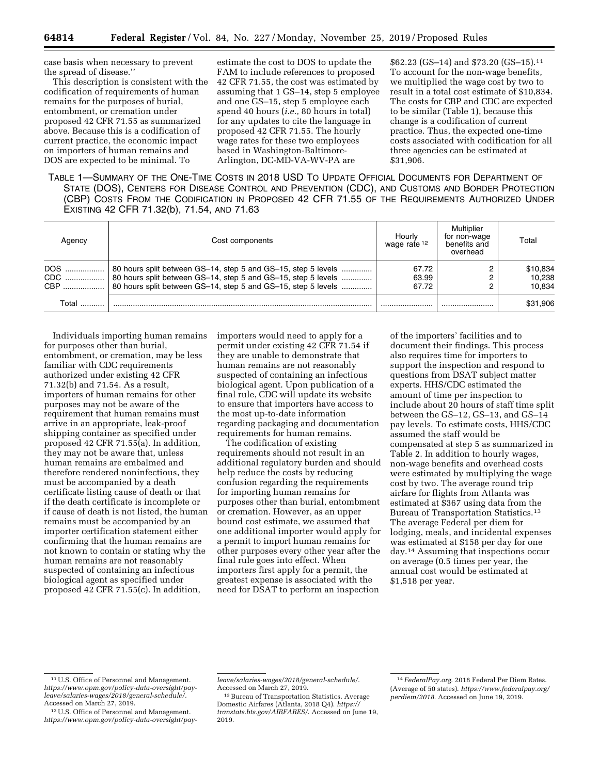case basis when necessary to prevent the spread of disease.''

This description is consistent with the codification of requirements of human remains for the purposes of burial, entombment, or cremation under proposed 42 CFR 71.55 as summarized above. Because this is a codification of current practice, the economic impact on importers of human remains and DOS are expected to be minimal. To

estimate the cost to DOS to update the FAM to include references to proposed 42 CFR 71.55, the cost was estimated by assuming that 1 GS–14, step 5 employee and one GS–15, step 5 employee each spend 40 hours (*i.e.,* 80 hours in total) for any updates to cite the language in proposed 42 CFR 71.55. The hourly wage rates for these two employees based in Washington-Baltimore-Arlington, DC-MD-VA-WV-PA are

\$62.23 (GS–14) and \$73.20 (GS–15).11 To account for the non-wage benefits, we multiplied the wage cost by two to result in a total cost estimate of \$10,834. The costs for CBP and CDC are expected to be similar (Table 1), because this change is a codification of current practice. Thus, the expected one-time costs associated with codification for all three agencies can be estimated at \$31,906.

TABLE 1—SUMMARY OF THE ONE-TIME COSTS IN 2018 USD TO UPDATE OFFICIAL DOCUMENTS FOR DEPARTMENT OF STATE (DOS), CENTERS FOR DISEASE CONTROL AND PREVENTION (CDC), AND CUSTOMS AND BORDER PROTECTION (CBP) COSTS FROM THE CODIFICATION IN PROPOSED 42 CFR 71.55 OF THE REQUIREMENTS AUTHORIZED UNDER EXISTING 42 CFR 71.32(b), 71.54, AND 71.63

| Aaencv | Cost components                                                                                                                                                                                           | Hourly<br>wage rate 12  | Multiplier<br>for non-wage<br>benefits and<br>overhead | Total                        |
|--------|-----------------------------------------------------------------------------------------------------------------------------------------------------------------------------------------------------------|-------------------------|--------------------------------------------------------|------------------------------|
| DOS    | 80 hours split between GS-14, step 5 and GS-15, step 5 levels<br>CDC  80 hours split between GS-14, step 5 and GS-15, step 5 levels<br>CBP  80 hours split between GS-14, step 5 and GS-15, step 5 levels | 67.72<br>63.99<br>67.72 |                                                        | \$10,834<br>10.238<br>10.834 |
| Total  |                                                                                                                                                                                                           |                         |                                                        | \$31,906                     |

Individuals importing human remains for purposes other than burial, entombment, or cremation, may be less familiar with CDC requirements authorized under existing 42 CFR 71.32(b) and 71.54. As a result, importers of human remains for other purposes may not be aware of the requirement that human remains must arrive in an appropriate, leak-proof shipping container as specified under proposed 42 CFR 71.55(a). In addition, they may not be aware that, unless human remains are embalmed and therefore rendered noninfectious, they must be accompanied by a death certificate listing cause of death or that if the death certificate is incomplete or if cause of death is not listed, the human remains must be accompanied by an importer certification statement either confirming that the human remains are not known to contain or stating why the human remains are not reasonably suspected of containing an infectious biological agent as specified under proposed 42 CFR 71.55(c). In addition,

importers would need to apply for a permit under existing 42 CFR 71.54 if they are unable to demonstrate that human remains are not reasonably suspected of containing an infectious biological agent. Upon publication of a final rule, CDC will update its website to ensure that importers have access to the most up-to-date information regarding packaging and documentation requirements for human remains.

The codification of existing requirements should not result in an additional regulatory burden and should help reduce the costs by reducing confusion regarding the requirements for importing human remains for purposes other than burial, entombment or cremation. However, as an upper bound cost estimate, we assumed that one additional importer would apply for a permit to import human remains for other purposes every other year after the final rule goes into effect. When importers first apply for a permit, the greatest expense is associated with the need for DSAT to perform an inspection

of the importers' facilities and to document their findings. This process also requires time for importers to support the inspection and respond to questions from DSAT subject matter experts. HHS/CDC estimated the amount of time per inspection to include about 20 hours of staff time split between the GS–12, GS–13, and GS–14 pay levels. To estimate costs, HHS/CDC assumed the staff would be compensated at step 5 as summarized in Table 2. In addition to hourly wages, non-wage benefits and overhead costs were estimated by multiplying the wage cost by two. The average round trip airfare for flights from Atlanta was estimated at \$367 using data from the Bureau of Transportation Statistics.13 The average Federal per diem for lodging, meals, and incidental expenses was estimated at \$158 per day for one day.14 Assuming that inspections occur on average (0.5 times per year, the annual cost would be estimated at \$1,518 per year.

<sup>11</sup>U.S. Office of Personnel and Management. *[https://www.opm.gov/policy-data-oversight/pay](https://www.opm.gov/policy-data-oversight/pay-leave/salaries-wages/2018/general-schedule/)[leave/salaries-wages/2018/general-schedule/.](https://www.opm.gov/policy-data-oversight/pay-leave/salaries-wages/2018/general-schedule/)*  Accessed on March 27, 2019.

<sup>12</sup>U.S. Office of Personnel and Management. *[https://www.opm.gov/policy-data-oversight/pay-](https://www.opm.gov/policy-data-oversight/pay-leave/salaries-wages/2018/general-schedule/)*

*[leave/salaries-wages/2018/general-schedule/](https://www.opm.gov/policy-data-oversight/pay-leave/salaries-wages/2018/general-schedule/)*. Accessed on March 27, 2019.

<sup>13</sup>Bureau of Transportation Statistics. Average Domestic Airfares (Atlanta, 2018 Q4). *[https://](https://transtats.bts.gov/AIRFARES/) [transtats.bts.gov/AIRFARES/](https://transtats.bts.gov/AIRFARES/)*. Accessed on June 19, 2019.

<sup>14</sup> *FederalPay.org*. 2018 Federal Per Diem Rates. (Average of 50 states). *[https://www.federalpay.org/](https://www.federalpay.org/perdiem/2018)  [perdiem/2018](https://www.federalpay.org/perdiem/2018)*. Accessed on June 19, 2019.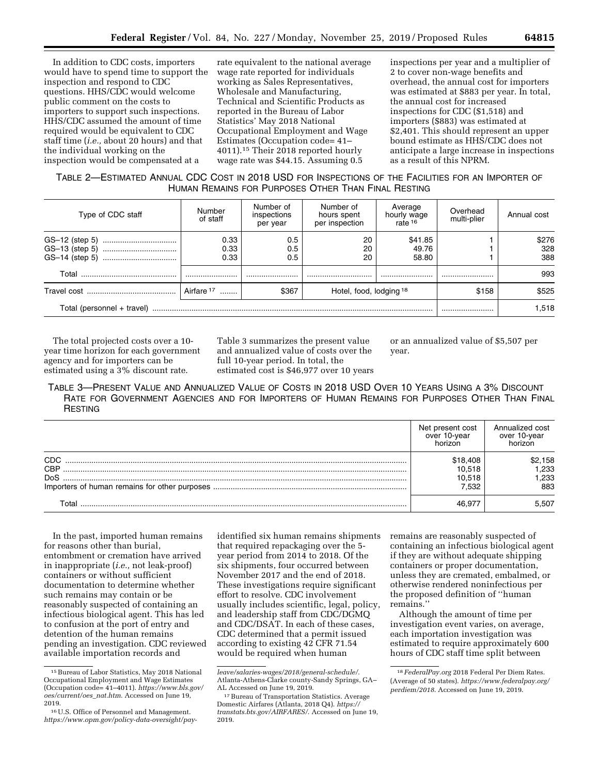In addition to CDC costs, importers would have to spend time to support the inspection and respond to CDC questions. HHS/CDC would welcome public comment on the costs to importers to support such inspections. HHS/CDC assumed the amount of time required would be equivalent to CDC staff time (*i.e.,* about 20 hours) and that the individual working on the

inspection would be compensated at a

rate equivalent to the national average wage rate reported for individuals working as Sales Representatives, Wholesale and Manufacturing, Technical and Scientific Products as reported in the Bureau of Labor Statistics' May 2018 National Occupational Employment and Wage Estimates (Occupation code= 41– 4011).15 Their 2018 reported hourly wage rate was \$44.15. Assuming 0.5

inspections per year and a multiplier of 2 to cover non-wage benefits and overhead, the annual cost for importers was estimated at \$883 per year. In total, the annual cost for increased inspections for CDC (\$1,518) and importers (\$883) was estimated at \$2,401. This should represent an upper bound estimate as HHS/CDC does not anticipate a large increase in inspections as a result of this NPRM.

# TABLE 2—ESTIMATED ANNUAL CDC COST IN 2018 USD FOR INSPECTIONS OF THE FACILITIES FOR AN IMPORTER OF HUMAN REMAINS FOR PURPOSES OTHER THAN FINAL RESTING

| Type of CDC staff          | Number<br>of staff | Number of<br>inspections<br>per year | Number of<br>hours spent<br>per inspection | Average<br>hourly wage<br>rate <sup>16</sup> | Overhead<br>multi-plier | Annual cost |
|----------------------------|--------------------|--------------------------------------|--------------------------------------------|----------------------------------------------|-------------------------|-------------|
|                            | 0.33               | 0.5                                  | 20                                         | \$41.85                                      |                         | \$276       |
|                            | 0.33<br>0.33       | 0.5<br>0.5                           | 20<br>20                                   | 49.76<br>58.80                               |                         | 328<br>388  |
|                            |                    |                                      |                                            |                                              |                         |             |
| Total                      |                    |                                      |                                            |                                              |                         | 993         |
|                            | Airfare 17         | \$367                                | Hotel, food, lodging 18                    |                                              | \$158                   | \$525       |
| Total (personnel + travel) |                    |                                      |                                            |                                              | 1.518                   |             |

The total projected costs over a 10 year time horizon for each government agency and for importers can be estimated using a 3% discount rate.

Table 3 summarizes the present value and annualized value of costs over the full 10-year period. In total, the estimated cost is \$46,977 over 10 years or an annualized value of \$5,507 per year.

TABLE 3—PRESENT VALUE AND ANNUALIZED VALUE OF COSTS IN 2018 USD OVER 10 YEARS USING A 3% DISCOUNT RATE FOR GOVERNMENT AGENCIES AND FOR IMPORTERS OF HUMAN REMAINS FOR PURPOSES OTHER THAN FINAL **RESTING** 

|            | Net present cost<br>over 10-year<br>horizon | Annualized cost<br>over 10-year<br>horizon |
|------------|---------------------------------------------|--------------------------------------------|
| CDC        | \$18.408                                    | \$2,158                                    |
| <b>CBP</b> | 10,518                                      | 1,233                                      |
| DoS        | 10,518                                      | .233                                       |
|            | 7.532                                       | 883                                        |
| T∩tal      | 46.97                                       | 5.507                                      |

In the past, imported human remains for reasons other than burial, entombment or cremation have arrived in inappropriate (*i.e.,* not leak-proof) containers or without sufficient documentation to determine whether such remains may contain or be reasonably suspected of containing an infectious biological agent. This has led to confusion at the port of entry and detention of the human remains pending an investigation. CDC reviewed available importation records and

identified six human remains shipments that required repackaging over the 5 year period from 2014 to 2018. Of the six shipments, four occurred between November 2017 and the end of 2018. These investigations require significant effort to resolve. CDC involvement usually includes scientific, legal, policy, and leadership staff from CDC/DGMQ and CDC/DSAT. In each of these cases, CDC determined that a permit issued according to existing 42 CFR 71.54 would be required when human

remains are reasonably suspected of containing an infectious biological agent if they are without adequate shipping containers or proper documentation, unless they are cremated, embalmed, or otherwise rendered noninfectious per the proposed definition of ''human remains.''

Although the amount of time per investigation event varies, on average, each importation investigation was estimated to require approximately 600 hours of CDC staff time split between

<sup>15</sup>Bureau of Labor Statistics, May 2018 National Occupational Employment and Wage Estimates (Occupation code= 41–4011). *[https://www.bls.gov/](https://www.bls.gov/oes/current/oes_nat.htm)  [oes/current/oes](https://www.bls.gov/oes/current/oes_nat.htm)*\_*nat.htm*. Accessed on June 19, 2019.

<sup>16</sup>U.S. Office of Personnel and Management. *[https://www.opm.gov/policy-data-oversight/pay-](https://www.opm.gov/policy-data-oversight/pay-leave/salaries-wages/2018/general-schedule/)*

*[leave/salaries-wages/2018/general-schedule/](https://www.opm.gov/policy-data-oversight/pay-leave/salaries-wages/2018/general-schedule/)*. Atlanta-Athens-Clarke county-Sandy Springs, GA– AL Accessed on June 19, 2019.

<sup>17</sup>Bureau of Transportation Statistics. Average Domestic Airfares (Atlanta, 2018 Q4). *[https://](https://transtats.bts.gov/AIRFARES/) [transtats.bts.gov/AIRFARES/](https://transtats.bts.gov/AIRFARES/)*. Accessed on June 19, 2019.

<sup>18</sup> *FederalPay.org* 2018 Federal Per Diem Rates. (Average of 50 states). *[https://www.federalpay.org/](https://www.federalpay.org/perdiem/2018)  [perdiem/2018](https://www.federalpay.org/perdiem/2018)*. Accessed on June 19, 2019.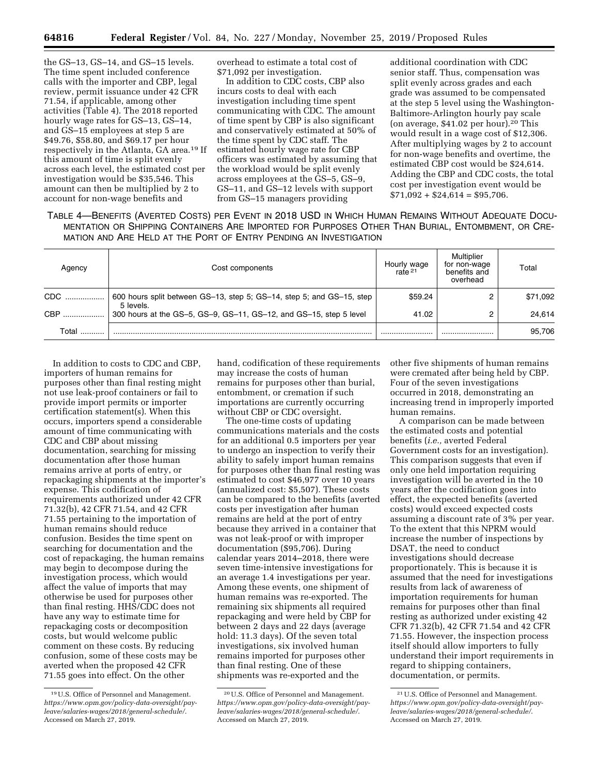the GS–13, GS–14, and GS–15 levels. The time spent included conference calls with the importer and CBP, legal review, permit issuance under 42 CFR 71.54, if applicable, among other activities (Table 4). The 2018 reported hourly wage rates for GS–13, GS–14, and GS–15 employees at step 5 are \$49.76, \$58.80, and \$69.17 per hour respectively in the Atlanta, GA area.19 If this amount of time is split evenly across each level, the estimated cost per investigation would be \$35,546. This amount can then be multiplied by 2 to account for non-wage benefits and

overhead to estimate a total cost of \$71,092 per investigation.

In addition to CDC costs, CBP also incurs costs to deal with each investigation including time spent communicating with CDC. The amount of time spent by CBP is also significant and conservatively estimated at 50% of the time spent by CDC staff. The estimated hourly wage rate for CBP officers was estimated by assuming that the workload would be split evenly across employees at the GS–5, GS–9, GS–11, and GS–12 levels with support from GS–15 managers providing

additional coordination with CDC senior staff. Thus, compensation was split evenly across grades and each grade was assumed to be compensated at the step 5 level using the Washington-Baltimore-Arlington hourly pay scale (on average, \$41.02 per hour).20 This would result in a wage cost of \$12,306. After multiplying wages by 2 to account for non-wage benefits and overtime, the estimated CBP cost would be \$24,614. Adding the CBP and CDC costs, the total cost per investigation event would be  $$71,092 + $24,614 = $95,706.$ 

TABLE 4—BENEFITS (AVERTED COSTS) PER EVENT IN 2018 USD IN WHICH HUMAN REMAINS WITHOUT ADEQUATE DOCU-MENTATION OR SHIPPING CONTAINERS ARE IMPORTED FOR PURPOSES OTHER THAN BURIAL, ENTOMBMENT, OR CRE-MATION AND ARE HELD AT THE PORT OF ENTRY PENDING AN INVESTIGATION

| Agency | Cost components                                                                    | Hourly wage<br>rate $21$ | Multiplier<br>for non-wage<br>benefits and<br>overhead | Total    |
|--------|------------------------------------------------------------------------------------|--------------------------|--------------------------------------------------------|----------|
| CDC    | 600 hours split between GS-13, step 5; GS-14, step 5; and GS-15, step<br>5 levels. | \$59.24                  |                                                        | \$71,092 |
| CBP    | 300 hours at the GS-5, GS-9, GS-11, GS-12, and GS-15, step 5 level                 | 41.02                    |                                                        | 24.614   |
| Total  |                                                                                    |                          |                                                        | 95.706   |

In addition to costs to CDC and CBP, importers of human remains for purposes other than final resting might not use leak-proof containers or fail to provide import permits or importer certification statement(s). When this occurs, importers spend a considerable amount of time communicating with CDC and CBP about missing documentation, searching for missing documentation after those human remains arrive at ports of entry, or repackaging shipments at the importer's expense. This codification of requirements authorized under 42 CFR 71.32(b), 42 CFR 71.54, and 42 CFR 71.55 pertaining to the importation of human remains should reduce confusion. Besides the time spent on searching for documentation and the cost of repackaging, the human remains may begin to decompose during the investigation process, which would affect the value of imports that may otherwise be used for purposes other than final resting. HHS/CDC does not have any way to estimate time for repackaging costs or decomposition costs, but would welcome public comment on these costs. By reducing confusion, some of these costs may be averted when the proposed 42 CFR 71.55 goes into effect. On the other

hand, codification of these requirements may increase the costs of human remains for purposes other than burial, entombment, or cremation if such importations are currently occurring without CBP or CDC oversight.

The one-time costs of updating communications materials and the costs for an additional 0.5 importers per year to undergo an inspection to verify their ability to safely import human remains for purposes other than final resting was estimated to cost \$46,977 over 10 years (annualized cost: \$5,507). These costs can be compared to the benefits (averted costs per investigation after human remains are held at the port of entry because they arrived in a container that was not leak-proof or with improper documentation (\$95,706). During calendar years 2014–2018, there were seven time-intensive investigations for an average 1.4 investigations per year. Among these events, one shipment of human remains was re-exported. The remaining six shipments all required repackaging and were held by CBP for between 2 days and 22 days (average hold: 11.3 days). Of the seven total investigations, six involved human remains imported for purposes other than final resting. One of these shipments was re-exported and the

other five shipments of human remains were cremated after being held by CBP. Four of the seven investigations occurred in 2018, demonstrating an increasing trend in improperly imported human remains.

A comparison can be made between the estimated costs and potential benefits (*i.e.,* averted Federal Government costs for an investigation). This comparison suggests that even if only one held importation requiring investigation will be averted in the 10 years after the codification goes into effect, the expected benefits (averted costs) would exceed expected costs assuming a discount rate of 3% per year. To the extent that this NPRM would increase the number of inspections by DSAT, the need to conduct investigations should decrease proportionately. This is because it is assumed that the need for investigations results from lack of awareness of importation requirements for human remains for purposes other than final resting as authorized under existing 42 CFR 71.32(b), 42 CFR 71.54 and 42 CFR 71.55. However, the inspection process itself should allow importers to fully understand their import requirements in regard to shipping containers, documentation, or permits.

<sup>19</sup>U.S. Office of Personnel and Management. *[https://www.opm.gov/policy-data-oversight/pay](https://www.opm.gov/policy-data-oversight/pay-leave/salaries-wages/2018/general-schedule/)[leave/salaries-wages/2018/general-schedule/](https://www.opm.gov/policy-data-oversight/pay-leave/salaries-wages/2018/general-schedule/)*. Accessed on March 27, 2019.

<sup>20</sup>U.S. Office of Personnel and Management. *[https://www.opm.gov/policy-data-oversight/pay](https://www.opm.gov/policy-data-oversight/pay-leave/salaries-wages/2018/general-schedule/)[leave/salaries-wages/2018/general-schedule/](https://www.opm.gov/policy-data-oversight/pay-leave/salaries-wages/2018/general-schedule/)*. Accessed on March 27, 2019.

<sup>21</sup>U.S. Office of Personnel and Management. *[https://www.opm.gov/policy-data-oversight/pay](https://www.opm.gov/policy-data-oversight/pay-leave/salaries-wages/2018/general-schedule/)[leave/salaries-wages/2018/general-schedule/](https://www.opm.gov/policy-data-oversight/pay-leave/salaries-wages/2018/general-schedule/)*. Accessed on March 27, 2019.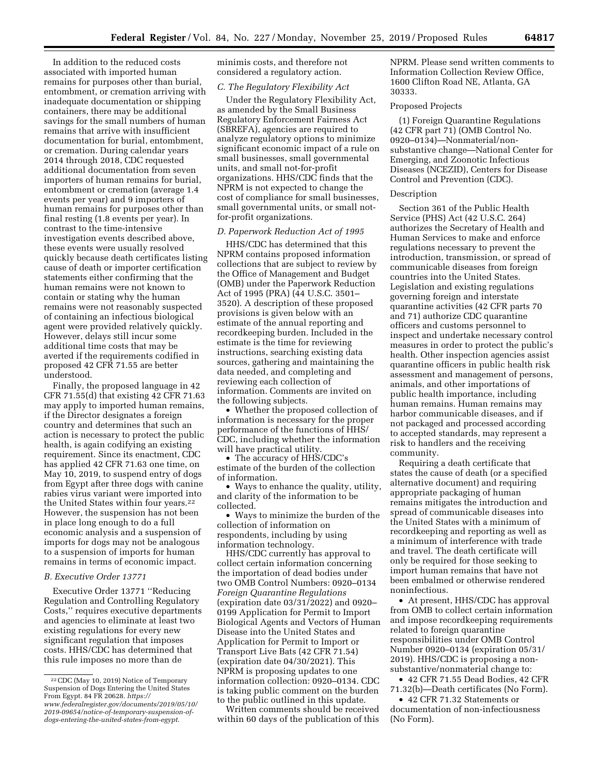In addition to the reduced costs associated with imported human remains for purposes other than burial, entombment, or cremation arriving with inadequate documentation or shipping containers, there may be additional savings for the small numbers of human remains that arrive with insufficient documentation for burial, entombment, or cremation. During calendar years 2014 through 2018, CDC requested additional documentation from seven importers of human remains for burial, entombment or cremation (average 1.4 events per year) and 9 importers of human remains for purposes other than final resting (1.8 events per year). In contrast to the time-intensive investigation events described above, these events were usually resolved quickly because death certificates listing cause of death or importer certification statements either confirming that the human remains were not known to contain or stating why the human remains were not reasonably suspected of containing an infectious biological agent were provided relatively quickly. However, delays still incur some additional time costs that may be averted if the requirements codified in proposed 42 CFR 71.55 are better understood.

Finally, the proposed language in 42 CFR 71.55(d) that existing 42 CFR 71.63 may apply to imported human remains, if the Director designates a foreign country and determines that such an action is necessary to protect the public health, is again codifying an existing requirement. Since its enactment, CDC has applied 42 CFR 71.63 one time, on May 10, 2019, to suspend entry of dogs from Egypt after three dogs with canine rabies virus variant were imported into the United States within four years.<sup>22</sup> However, the suspension has not been in place long enough to do a full economic analysis and a suspension of imports for dogs may not be analogous to a suspension of imports for human remains in terms of economic impact.

#### *B. Executive Order 13771*

Executive Order 13771 ''Reducing Regulation and Controlling Regulatory Costs,'' requires executive departments and agencies to eliminate at least two existing regulations for every new significant regulation that imposes costs. HHS/CDC has determined that this rule imposes no more than de

minimis costs, and therefore not considered a regulatory action.

# *C. The Regulatory Flexibility Act*

Under the Regulatory Flexibility Act, as amended by the Small Business Regulatory Enforcement Fairness Act (SBREFA), agencies are required to analyze regulatory options to minimize significant economic impact of a rule on small businesses, small governmental units, and small not-for-profit organizations. HHS/CDC finds that the NPRM is not expected to change the cost of compliance for small businesses, small governmental units, or small notfor-profit organizations.

# *D. Paperwork Reduction Act of 1995*

HHS/CDC has determined that this NPRM contains proposed information collections that are subject to review by the Office of Management and Budget (OMB) under the Paperwork Reduction Act of 1995 (PRA) (44 U.S.C. 3501– 3520). A description of these proposed provisions is given below with an estimate of the annual reporting and recordkeeping burden. Included in the estimate is the time for reviewing instructions, searching existing data sources, gathering and maintaining the data needed, and completing and reviewing each collection of information. Comments are invited on the following subjects.

• Whether the proposed collection of information is necessary for the proper performance of the functions of HHS/ CDC, including whether the information will have practical utility.

• The accuracy of HHS/CDC's estimate of the burden of the collection of information.

• Ways to enhance the quality, utility, and clarity of the information to be collected.

• Ways to minimize the burden of the collection of information on respondents, including by using information technology.

HHS/CDC currently has approval to collect certain information concerning the importation of dead bodies under two OMB Control Numbers: 0920–0134 *Foreign Quarantine Regulations*  (expiration date 03/31/2022) and 0920– 0199 Application for Permit to Import Biological Agents and Vectors of Human Disease into the United States and Application for Permit to Import or Transport Live Bats (42 CFR 71.54) (expiration date 04/30/2021). This NPRM is proposing updates to one information collection: 0920–0134. CDC is taking public comment on the burden to the public outlined in this update.

Written comments should be received within 60 days of the publication of this NPRM. Please send written comments to Information Collection Review Office, 1600 Clifton Road NE, Atlanta, GA 30333.

# Proposed Projects

(1) Foreign Quarantine Regulations (42 CFR part 71) (OMB Control No. 0920–0134)—Nonmaterial/nonsubstantive change—National Center for Emerging, and Zoonotic Infectious Diseases (NCEZID), Centers for Disease Control and Prevention (CDC).

### Description

Section 361 of the Public Health Service (PHS) Act (42 U.S.C. 264) authorizes the Secretary of Health and Human Services to make and enforce regulations necessary to prevent the introduction, transmission, or spread of communicable diseases from foreign countries into the United States. Legislation and existing regulations governing foreign and interstate quarantine activities (42 CFR parts 70 and 71) authorize CDC quarantine officers and customs personnel to inspect and undertake necessary control measures in order to protect the public's health. Other inspection agencies assist quarantine officers in public health risk assessment and management of persons, animals, and other importations of public health importance, including human remains. Human remains may harbor communicable diseases, and if not packaged and processed according to accepted standards, may represent a risk to handlers and the receiving community.

Requiring a death certificate that states the cause of death (or a specified alternative document) and requiring appropriate packaging of human remains mitigates the introduction and spread of communicable diseases into the United States with a minimum of recordkeeping and reporting as well as a minimum of interference with trade and travel. The death certificate will only be required for those seeking to import human remains that have not been embalmed or otherwise rendered noninfectious.

• At present, HHS/CDC has approval from OMB to collect certain information and impose recordkeeping requirements related to foreign quarantine responsibilities under OMB Control Number 0920–0134 (expiration 05/31/ 2019). HHS/CDC is proposing a nonsubstantive/nonmaterial change to:

• 42 CFR 71.55 Dead Bodies, 42 CFR 71.32(b)—Death certificates (No Form).

• 42 CFR 71.32 Statements or documentation of non-infectiousness (No Form).

<sup>22</sup>CDC (May 10, 2019) Notice of Temporary Suspension of Dogs Entering the United States From Egypt. 84 FR 20628. *[https://](https://www.federalregister.gov/documents/2019/05/10/2019-09654/notice-of-temporary-suspension-of-dogs-entering-the-united-states-from-egypt) [www.federalregister.gov/documents/2019/05/10/](https://www.federalregister.gov/documents/2019/05/10/2019-09654/notice-of-temporary-suspension-of-dogs-entering-the-united-states-from-egypt) [2019-09654/notice-of-temporary-suspension-of](https://www.federalregister.gov/documents/2019/05/10/2019-09654/notice-of-temporary-suspension-of-dogs-entering-the-united-states-from-egypt)[dogs-entering-the-united-states-from-egypt](https://www.federalregister.gov/documents/2019/05/10/2019-09654/notice-of-temporary-suspension-of-dogs-entering-the-united-states-from-egypt)*.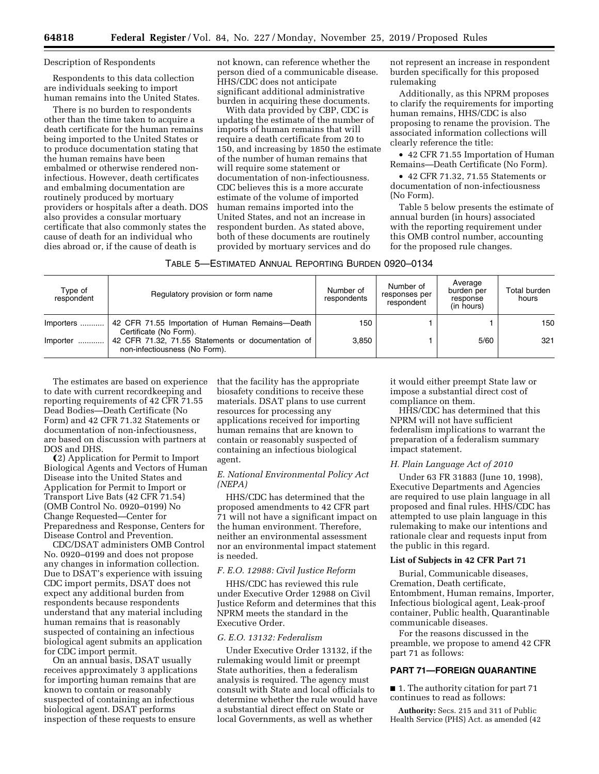### Description of Respondents

Respondents to this data collection are individuals seeking to import human remains into the United States.

There is no burden to respondents other than the time taken to acquire a death certificate for the human remains being imported to the United States or to produce documentation stating that the human remains have been embalmed or otherwise rendered noninfectious. However, death certificates and embalming documentation are routinely produced by mortuary providers or hospitals after a death. DOS also provides a consular mortuary certificate that also commonly states the cause of death for an individual who dies abroad or, if the cause of death is

not known, can reference whether the person died of a communicable disease. HHS/CDC does not anticipate significant additional administrative burden in acquiring these documents.

With data provided by CBP, CDC is updating the estimate of the number of imports of human remains that will require a death certificate from 20 to 150, and increasing by 1850 the estimate of the number of human remains that will require some statement or documentation of non-infectiousness. CDC believes this is a more accurate estimate of the volume of imported human remains imported into the United States, and not an increase in respondent burden. As stated above, both of these documents are routinely provided by mortuary services and do

not represent an increase in respondent burden specifically for this proposed rulemaking

Additionally, as this NPRM proposes to clarify the requirements for importing human remains, HHS/CDC is also proposing to rename the provision. The associated information collections will clearly reference the title:

• 42 CFR 71.55 Importation of Human Remains—Death Certificate (No Form).

• 42 CFR 71.32, 71.55 Statements or documentation of non-infectiousness (No Form).

Table 5 below presents the estimate of annual burden (in hours) associated with the reporting requirement under this OMB control number, accounting for the proposed rule changes.

| TABLE 5—ESTIMATED ANNUAL REPORTING BURDEN 0920–0134 |  |  |  |  |
|-----------------------------------------------------|--|--|--|--|
|-----------------------------------------------------|--|--|--|--|

| Type of<br>respondent | Regulatory provision or form name                                                                             | Number of<br>respondents | Number of<br>responses per<br>respondent | Average<br>burden per<br>response<br>(in hours) | Total burden<br>hours |
|-----------------------|---------------------------------------------------------------------------------------------------------------|--------------------------|------------------------------------------|-------------------------------------------------|-----------------------|
|                       | Importers    42 CFR 71.55 Importation of Human Remains-Death                                                  | 150                      |                                          |                                                 | 150                   |
| $Importer$            | Certificate (No Form).<br>42 CFR 71.32, 71.55 Statements or documentation of<br>non-infectiousness (No Form). | 3.850                    |                                          | 5/60                                            | 321                   |

The estimates are based on experience to date with current recordkeeping and reporting requirements of 42 CFR 71.55 Dead Bodies—Death Certificate (No Form) and 42 CFR 71.32 Statements or documentation of non-infectiousness, are based on discussion with partners at DOS and DHS.

Ω2) Application for Permit to Import Biological Agents and Vectors of Human Disease into the United States and Application for Permit to Import or Transport Live Bats (42 CFR 71.54) (OMB Control No. 0920–0199) No Change Requested—Center for Preparedness and Response, Centers for Disease Control and Prevention.

CDC/DSAT administers OMB Control No. 0920–0199 and does not propose any changes in information collection. Due to DSAT's experience with issuing CDC import permits, DSAT does not expect any additional burden from respondents because respondents understand that any material including human remains that is reasonably suspected of containing an infectious biological agent submits an application for CDC import permit.

On an annual basis, DSAT usually receives approximately 3 applications for importing human remains that are known to contain or reasonably suspected of containing an infectious biological agent. DSAT performs inspection of these requests to ensure

that the facility has the appropriate biosafety conditions to receive these materials. DSAT plans to use current resources for processing any applications received for importing human remains that are known to contain or reasonably suspected of containing an infectious biological agent.

## *E. National Environmental Policy Act (NEPA)*

HHS/CDC has determined that the proposed amendments to 42 CFR part 71 will not have a significant impact on the human environment. Therefore, neither an environmental assessment nor an environmental impact statement is needed.

### *F. E.O. 12988: Civil Justice Reform*

HHS/CDC has reviewed this rule under Executive Order 12988 on Civil Justice Reform and determines that this NPRM meets the standard in the Executive Order.

### *G. E.O. 13132: Federalism*

Under Executive Order 13132, if the rulemaking would limit or preempt State authorities, then a federalism analysis is required. The agency must consult with State and local officials to determine whether the rule would have a substantial direct effect on State or local Governments, as well as whether

it would either preempt State law or impose a substantial direct cost of compliance on them.

HHS/CDC has determined that this NPRM will not have sufficient federalism implications to warrant the preparation of a federalism summary impact statement.

#### *H. Plain Language Act of 2010*

Under 63 FR 31883 (June 10, 1998), Executive Departments and Agencies are required to use plain language in all proposed and final rules. HHS/CDC has attempted to use plain language in this rulemaking to make our intentions and rationale clear and requests input from the public in this regard.

### **List of Subjects in 42 CFR Part 71**

Burial, Communicable diseases, Cremation, Death certificate, Entombment, Human remains, Importer, Infectious biological agent, Leak-proof container, Public health, Quarantinable communicable diseases.

For the reasons discussed in the preamble, we propose to amend 42 CFR part 71 as follows:

# **PART 71—FOREIGN QUARANTINE**

■ 1. The authority citation for part 71 continues to read as follows:

**Authority:** Secs. 215 and 311 of Public Health Service (PHS) Act. as amended (42